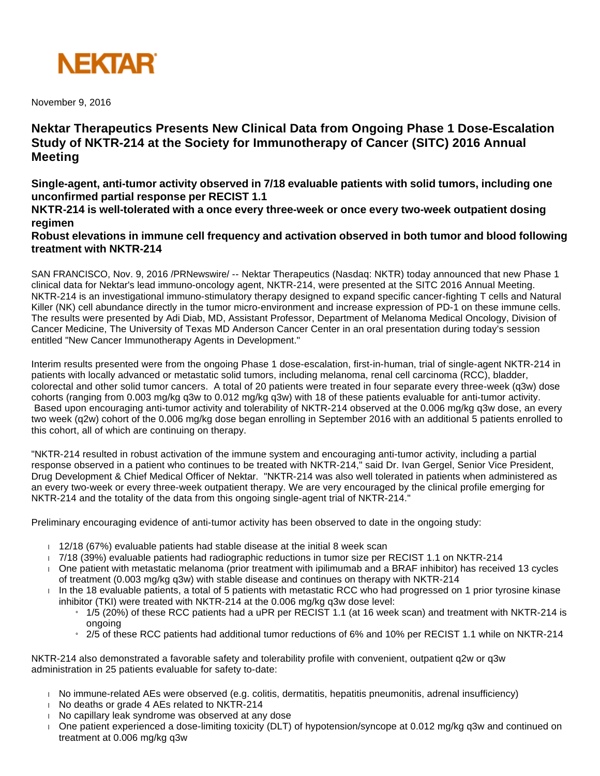

November 9, 2016

## **Nektar Therapeutics Presents New Clinical Data from Ongoing Phase 1 Dose-Escalation Study of NKTR-214 at the Society for Immunotherapy of Cancer (SITC) 2016 Annual Meeting**

**Single-agent, anti-tumor activity observed in 7/18 evaluable patients with solid tumors, including one unconfirmed partial response per RECIST 1.1**

**NKTR-214 is well-tolerated with a once every three-week or once every two-week outpatient dosing regimen**

**Robust elevations in immune cell frequency and activation observed in both tumor and blood following treatment with NKTR-214**

SAN FRANCISCO, Nov. 9, 2016 /PRNewswire/ -- Nektar Therapeutics (Nasdaq: NKTR) today announced that new Phase 1 clinical data for Nektar's lead immuno-oncology agent, NKTR-214, were presented at the SITC 2016 Annual Meeting. NKTR-214 is an investigational immuno-stimulatory therapy designed to expand specific cancer-fighting T cells and Natural Killer (NK) cell abundance directly in the tumor micro-environment and increase expression of PD-1 on these immune cells. The results were presented by Adi Diab, MD, Assistant Professor, Department of Melanoma Medical Oncology, Division of Cancer Medicine, The University of Texas MD Anderson Cancer Center in an oral presentation during today's session entitled "New Cancer Immunotherapy Agents in Development."

Interim results presented were from the ongoing Phase 1 dose-escalation, first-in-human, trial of single-agent NKTR-214 in patients with locally advanced or metastatic solid tumors, including melanoma, renal cell carcinoma (RCC), bladder, colorectal and other solid tumor cancers. A total of 20 patients were treated in four separate every three-week (q3w) dose cohorts (ranging from 0.003 mg/kg q3w to 0.012 mg/kg q3w) with 18 of these patients evaluable for anti-tumor activity. Based upon encouraging anti-tumor activity and tolerability of NKTR-214 observed at the 0.006 mg/kg q3w dose, an every two week (q2w) cohort of the 0.006 mg/kg dose began enrolling in September 2016 with an additional 5 patients enrolled to this cohort, all of which are continuing on therapy.

"NKTR-214 resulted in robust activation of the immune system and encouraging anti-tumor activity, including a partial response observed in a patient who continues to be treated with NKTR-214," said Dr. Ivan Gergel, Senior Vice President, Drug Development & Chief Medical Officer of Nektar. "NKTR-214 was also well tolerated in patients when administered as an every two-week or every three-week outpatient therapy. We are very encouraged by the clinical profile emerging for NKTR-214 and the totality of the data from this ongoing single-agent trial of NKTR-214."

Preliminary encouraging evidence of anti-tumor activity has been observed to date in the ongoing study:

- $12/18$  (67%) evaluable patients had stable disease at the initial 8 week scan
- 7/18 (39%) evaluable patients had radiographic reductions in tumor size per RECIST 1.1 on NKTR-214
- One patient with metastatic melanoma (prior treatment with ipilimumab and a BRAF inhibitor) has received 13 cycles of treatment (0.003 mg/kg q3w) with stable disease and continues on therapy with NKTR-214
- $\Box$  In the 18 evaluable patients, a total of 5 patients with metastatic RCC who had progressed on 1 prior tyrosine kinase inhibitor (TKI) were treated with NKTR-214 at the 0.006 mg/kg q3w dose level:
	- » 1/5 (20%) of these RCC patients had a uPR per RECIST 1.1 (at 16 week scan) and treatment with NKTR-214 is ongoing
	- 2/5 of these RCC patients had additional tumor reductions of 6% and 10% per RECIST 1.1 while on NKTR-214

NKTR-214 also demonstrated a favorable safety and tolerability profile with convenient, outpatient q2w or q3w administration in 25 patients evaluable for safety to-date:

- No immune-related AEs were observed (e.g. colitis, dermatitis, hepatitis pneumonitis, adrenal insufficiency)
- No deaths or grade 4 AEs related to NKTR-214
- $\blacksquare$  No capillary leak syndrome was observed at any dose
- One patient experienced a dose-limiting toxicity (DLT) of hypotension/syncope at 0.012 mg/kg q3w and continued on treatment at 0.006 mg/kg q3w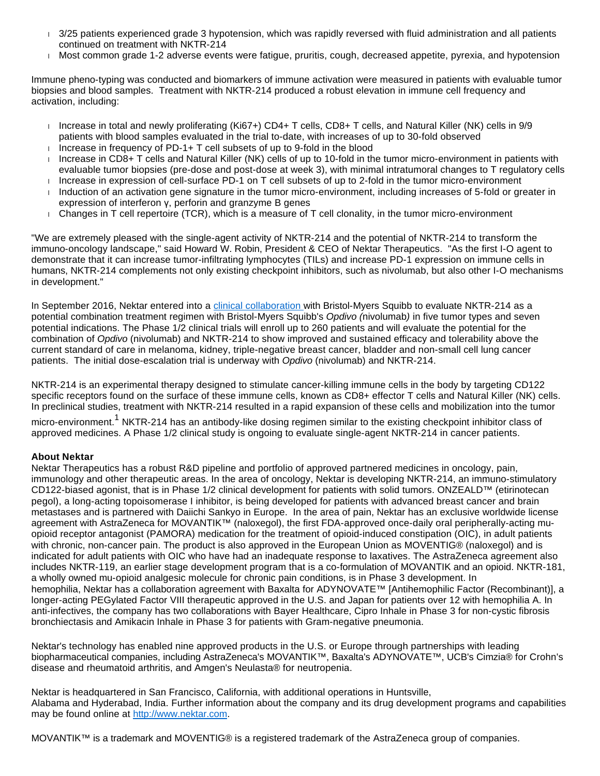- 3/25 patients experienced grade 3 hypotension, which was rapidly reversed with fluid administration and all patients continued on treatment with NKTR-214
- Most common grade 1-2 adverse events were fatigue, pruritis, cough, decreased appetite, pyrexia, and hypotension

Immune pheno-typing was conducted and biomarkers of immune activation were measured in patients with evaluable tumor biopsies and blood samples. Treatment with NKTR-214 produced a robust elevation in immune cell frequency and activation, including:

- Increase in total and newly proliferating (Ki67+) CD4+ T cells, CD8+ T cells, and Natural Killer (NK) cells in 9/9 patients with blood samples evaluated in the trial to-date, with increases of up to 30-fold observed
- Increase in frequency of PD-1+  $T$  cell subsets of up to 9-fold in the blood
- Increase in CD8+ T cells and Natural Killer (NK) cells of up to 10-fold in the tumor micro-environment in patients with evaluable tumor biopsies (pre-dose and post-dose at week 3), with minimal intratumoral changes to T regulatory cells Increase in expression of cell-surface PD-1 on T cell subsets of up to 2-fold in the tumor micro-environment
- Induction of an activation gene signature in the tumor micro-environment, including increases of 5-fold or greater in expression of interferon γ, perforin and granzyme B genes
- Changes in T cell repertoire (TCR), which is a measure of T cell clonality, in the tumor micro-environment

"We are extremely pleased with the single-agent activity of NKTR-214 and the potential of NKTR-214 to transform the immuno-oncology landscape," said Howard W. Robin, President & CEO of Nektar Therapeutics. "As the first I-O agent to demonstrate that it can increase tumor-infiltrating lymphocytes (TILs) and increase PD-1 expression on immune cells in humans, NKTR-214 complements not only existing checkpoint inhibitors, such as nivolumab, but also other I-O mechanisms in development."

In September 2016, Nektar entered into a [clinical collaboration w](http://news.bms.com/press-release/partnering-news/bristol-myers-squibb-and-nektar-therapeutics-announce-oncology-clinica)ith Bristol-Myers Squibb to evaluate NKTR-214 as a potential combination treatment regimen with Bristol-Myers Squibb's Opdivo (nivolumab) in five tumor types and seven potential indications. The Phase 1/2 clinical trials will enroll up to 260 patients and will evaluate the potential for the combination of Opdivo (nivolumab) and NKTR-214 to show improved and sustained efficacy and tolerability above the current standard of care in melanoma, kidney, triple-negative breast cancer, bladder and non-small cell lung cancer patients. The initial dose-escalation trial is underway with Opdivo (nivolumab) and NKTR-214.

NKTR-214 is an experimental therapy designed to stimulate cancer-killing immune cells in the body by targeting CD122 specific receptors found on the surface of these immune cells, known as CD8+ effector T cells and Natural Killer (NK) cells. In preclinical studies, treatment with NKTR-214 resulted in a rapid expansion of these cells and mobilization into the tumor

micro-environment.<sup>1</sup> NKTR-214 has an antibody-like dosing regimen similar to the existing checkpoint inhibitor class of approved medicines. A Phase 1/2 clinical study is ongoing to evaluate single-agent NKTR-214 in cancer patients.

## **About Nektar**

Nektar Therapeutics has a robust R&D pipeline and portfolio of approved partnered medicines in oncology, pain, immunology and other therapeutic areas. In the area of oncology, Nektar is developing NKTR-214, an immuno-stimulatory CD122-biased agonist, that is in Phase 1/2 clinical development for patients with solid tumors. ONZEALD™ (etirinotecan pegol), a long-acting topoisomerase I inhibitor, is being developed for patients with advanced breast cancer and brain metastases and is partnered with Daiichi Sankyo in Europe. In the area of pain, Nektar has an exclusive worldwide license agreement with AstraZeneca for MOVANTIK™ (naloxegol), the first FDA-approved once-daily oral peripherally-acting muopioid receptor antagonist (PAMORA) medication for the treatment of opioid-induced constipation (OIC), in adult patients with chronic, non-cancer pain. The product is also approved in the European Union as MOVENTIG® (naloxegol) and is indicated for adult patients with OIC who have had an inadequate response to laxatives. The AstraZeneca agreement also includes NKTR-119, an earlier stage development program that is a co-formulation of MOVANTIK and an opioid. NKTR-181, a wholly owned mu-opioid analgesic molecule for chronic pain conditions, is in Phase 3 development. In hemophilia, Nektar has a collaboration agreement with Baxalta for ADYNOVATE™ [Antihemophilic Factor (Recombinant)], a longer-acting PEGylated Factor VIII therapeutic approved in the U.S. and Japan for patients over 12 with hemophilia A. In anti-infectives, the company has two collaborations with Bayer Healthcare, Cipro Inhale in Phase 3 for non-cystic fibrosis bronchiectasis and Amikacin Inhale in Phase 3 for patients with Gram-negative pneumonia.

Nektar's technology has enabled nine approved products in the U.S. or Europe through partnerships with leading biopharmaceutical companies, including AstraZeneca's MOVANTIK™, Baxalta's ADYNOVATE™, UCB's Cimzia® for Crohn's disease and rheumatoid arthritis, and Amgen's Neulasta® for neutropenia.

Nektar is headquartered in San Francisco, California, with additional operations in Huntsville, Alabama and Hyderabad, India. Further information about the company and its drug development programs and capabilities may be found online at [http://www.nektar.com.](http://www.nektar.com/)

MOVANTIK™ is a trademark and MOVENTIG® is a registered trademark of the AstraZeneca group of companies.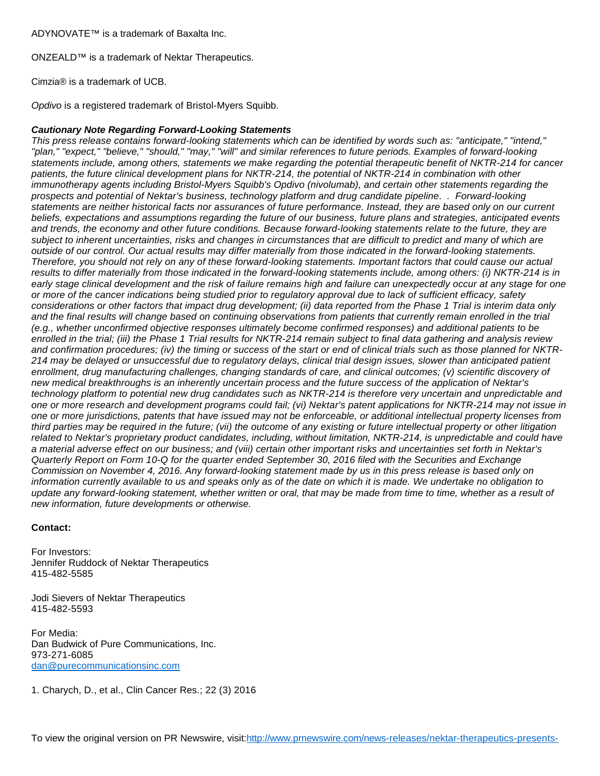ADYNOVATE™ is a trademark of Baxalta Inc.

ONZEALD™ is a trademark of Nektar Therapeutics.

Cimzia® is a trademark of UCB.

Opdivo is a registered trademark of Bristol-Myers Squibb.

## **Cautionary Note Regarding Forward-Looking Statements**

This press release contains forward-looking statements which can be identified by words such as: "anticipate," "intend," "plan," "expect," "believe," "should," "may," "will" and similar references to future periods. Examples of forward-looking statements include, among others, statements we make regarding the potential therapeutic benefit of NKTR-214 for cancer patients, the future clinical development plans for NKTR-214, the potential of NKTR-214 in combination with other immunotherapy agents including Bristol-Myers Squibb's Opdivo (nivolumab), and certain other statements regarding the prospects and potential of Nektar's business, technology platform and drug candidate pipeline. . Forward-looking statements are neither historical facts nor assurances of future performance. Instead, they are based only on our current beliefs, expectations and assumptions regarding the future of our business, future plans and strategies, anticipated events and trends, the economy and other future conditions. Because forward-looking statements relate to the future, they are subject to inherent uncertainties, risks and changes in circumstances that are difficult to predict and many of which are outside of our control. Our actual results may differ materially from those indicated in the forward-looking statements. Therefore, you should not rely on any of these forward-looking statements. Important factors that could cause our actual results to differ materially from those indicated in the forward-looking statements include, among others: (i) NKTR-214 is in early stage clinical development and the risk of failure remains high and failure can unexpectedly occur at any stage for one or more of the cancer indications being studied prior to regulatory approval due to lack of sufficient efficacy, safety considerations or other factors that impact drug development; (ii) data reported from the Phase 1 Trial is interim data only and the final results will change based on continuing observations from patients that currently remain enrolled in the trial (e.g., whether unconfirmed objective responses ultimately become confirmed responses) and additional patients to be enrolled in the trial; (iii) the Phase 1 Trial results for NKTR-214 remain subject to final data gathering and analysis review and confirmation procedures; (iv) the timing or success of the start or end of clinical trials such as those planned for NKTR-214 may be delayed or unsuccessful due to regulatory delays, clinical trial design issues, slower than anticipated patient enrollment, drug manufacturing challenges, changing standards of care, and clinical outcomes; (v) scientific discovery of new medical breakthroughs is an inherently uncertain process and the future success of the application of Nektar's technology platform to potential new drug candidates such as NKTR-214 is therefore very uncertain and unpredictable and one or more research and development programs could fail; (vi) Nektar's patent applications for NKTR-214 may not issue in one or more jurisdictions, patents that have issued may not be enforceable, or additional intellectual property licenses from third parties may be required in the future; (vii) the outcome of any existing or future intellectual property or other litigation related to Nektar's proprietary product candidates, including, without limitation, NKTR-214, is unpredictable and could have a material adverse effect on our business; and (viii) certain other important risks and uncertainties set forth in Nektar's Quarterly Report on Form 10-Q for the quarter ended September 30, 2016 filed with the Securities and Exchange Commission on November 4, 2016. Any forward-looking statement made by us in this press release is based only on information currently available to us and speaks only as of the date on which it is made. We undertake no obligation to update any forward-looking statement, whether written or oral, that may be made from time to time, whether as a result of new information, future developments or otherwise.

## **Contact:**

For Investors: Jennifer Ruddock of Nektar Therapeutics 415-482-5585

Jodi Sievers of Nektar Therapeutics 415-482-5593

For Media: Dan Budwick of Pure Communications, Inc. 973-271-6085 [dan@purecommunicationsinc.com](mailto:dan@purecommunicationsinc.com)

1. Charych, D., et al., Clin Cancer Res.; 22 (3) 2016